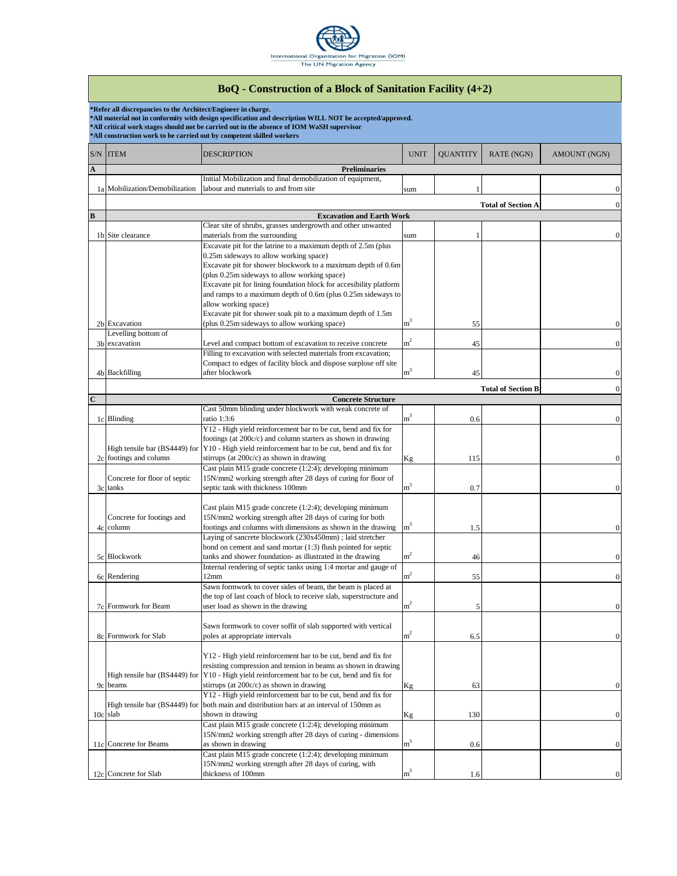

|             |                                                               | <b>BoQ</b> - Construction of a Block of Sanitation Facility (4+2)                                                                                                                                     |                |                 |                           |              |  |  |
|-------------|---------------------------------------------------------------|-------------------------------------------------------------------------------------------------------------------------------------------------------------------------------------------------------|----------------|-----------------|---------------------------|--------------|--|--|
|             | *Refer all discrepancies to the Architect/Engineer in charge. |                                                                                                                                                                                                       |                |                 |                           |              |  |  |
|             |                                                               | *All material not in conformity with design specification and description WILL NOT be accepted/approved.<br>*All critical work stages should not be carried out in the absence of IOM WaSH supervisor |                |                 |                           |              |  |  |
|             |                                                               | *All construction work to be carried out by competent skilled workers                                                                                                                                 |                |                 |                           |              |  |  |
|             | S/N ITEM                                                      | DESCRIPTION                                                                                                                                                                                           | <b>UNIT</b>    | <b>QUANTITY</b> | RATE (NGN)                | AMOUNT (NGN) |  |  |
|             |                                                               |                                                                                                                                                                                                       |                |                 |                           |              |  |  |
| A           |                                                               | <b>Preliminaries</b><br>Initial Mobilization and final demobilization of equipment,                                                                                                                   |                |                 |                           |              |  |  |
|             | 1a Mobilization/Demobilization                                | labour and materials to and from site                                                                                                                                                                 | sum            |                 |                           |              |  |  |
|             |                                                               |                                                                                                                                                                                                       |                |                 |                           |              |  |  |
|             | <b>Total of Section A</b>                                     |                                                                                                                                                                                                       |                |                 |                           |              |  |  |
| B           |                                                               | <b>Excavation and Earth Work</b><br>Clear site of shrubs, grasses undergrowth and other unwanted                                                                                                      |                |                 |                           |              |  |  |
|             | 1b Site clearance                                             | materials from the surrounding                                                                                                                                                                        | sum            |                 |                           |              |  |  |
|             |                                                               | Excavate pit for the latrine to a maximum depth of 2.5m (plus                                                                                                                                         |                |                 |                           |              |  |  |
|             |                                                               | 0.25m sideways to allow working space)                                                                                                                                                                |                |                 |                           |              |  |  |
|             |                                                               | Excavate pit for shower blockwork to a maximum depth of 0.6m                                                                                                                                          |                |                 |                           |              |  |  |
|             |                                                               | (plus 0.25m sideways to allow working space)                                                                                                                                                          |                |                 |                           |              |  |  |
|             |                                                               | Excavate pit for lining foundation block for accesibility platform<br>and ramps to a maximum depth of 0.6m (plus 0.25m sideways to                                                                    |                |                 |                           |              |  |  |
|             |                                                               | allow working space)                                                                                                                                                                                  |                |                 |                           |              |  |  |
|             |                                                               | Excavate pit for shower soak pit to a maximum depth of 1.5m                                                                                                                                           |                |                 |                           |              |  |  |
|             | 2b Excavation                                                 | (plus 0.25m sideways to allow working space)                                                                                                                                                          | m <sup>3</sup> | 55              |                           |              |  |  |
|             | Levelling bottom of                                           |                                                                                                                                                                                                       |                |                 |                           |              |  |  |
|             | 3b excavation                                                 | Level and compact bottom of excavation to receive concrete<br>Filling to excavation with selected materials from excavation;                                                                          | m <sup>2</sup> | 45              |                           |              |  |  |
|             |                                                               | Compact to edges of facility block and dispose surplose off site                                                                                                                                      |                |                 |                           |              |  |  |
|             | 4b Backfilling                                                | after blockwork                                                                                                                                                                                       | m <sup>3</sup> | 45              |                           |              |  |  |
|             |                                                               |                                                                                                                                                                                                       |                |                 |                           |              |  |  |
|             |                                                               |                                                                                                                                                                                                       |                |                 | <b>Total of Section B</b> |              |  |  |
| $\mathbf C$ |                                                               | <b>Concrete Structure</b><br>Cast 50mm blinding under blockwork with weak concrete of                                                                                                                 |                |                 |                           |              |  |  |
|             | 1c Blinding                                                   | ratio 1:3:6                                                                                                                                                                                           | m <sup>3</sup> | 0.6             |                           |              |  |  |
|             |                                                               | Y12 - High yield reinforcement bar to be cut, bend and fix for                                                                                                                                        |                |                 |                           |              |  |  |
|             |                                                               | footings (at 200c/c) and column starters as shown in drawing                                                                                                                                          |                |                 |                           |              |  |  |
|             | High tensile bar (BS4449) for                                 | Y10 - High yield reinforcement bar to be cut, bend and fix for                                                                                                                                        |                |                 |                           |              |  |  |
|             | 2c footings and column                                        | stirrups (at 200c/c) as shown in drawing                                                                                                                                                              | Kg             | 115             |                           |              |  |  |
|             |                                                               | Cast plain M15 grade concrete (1:2:4); developing minimum<br>15N/mm2 working strength after 28 days of curing for floor of                                                                            |                |                 |                           |              |  |  |
|             | Concrete for floor of septic<br>3c tanks                      | septic tank with thickness 100mm                                                                                                                                                                      | m <sup>3</sup> | 0.7             |                           |              |  |  |
|             |                                                               |                                                                                                                                                                                                       |                |                 |                           |              |  |  |
|             |                                                               | Cast plain M15 grade concrete (1:2:4); developing minimum                                                                                                                                             |                |                 |                           |              |  |  |
|             | Concrete for footings and                                     | 15N/mm2 working strength after 28 days of curing for both                                                                                                                                             |                |                 |                           |              |  |  |
|             | 4c column                                                     | footings and columns with dimensions as shown in the drawing                                                                                                                                          | m <sup>3</sup> | 1.5             |                           |              |  |  |
|             |                                                               | Laying of sancrete blockwork (230x450mm); laid stretcher                                                                                                                                              |                |                 |                           |              |  |  |
|             | 5c Blockwork                                                  | bond on cement and sand mortar (1:3) flush pointed for septic<br>tanks and shower foundation- as illustrated in the drawing                                                                           | m <sup>2</sup> |                 |                           |              |  |  |
|             |                                                               | Internal rendering of septic tanks using 1:4 mortar and gauge of                                                                                                                                      |                | 46              |                           |              |  |  |
|             | 6c Rendering                                                  | 12mm                                                                                                                                                                                                  | m <sup>2</sup> | 55              |                           |              |  |  |
|             |                                                               | Sawn formwork to cover sides of beam, the beam is placed at                                                                                                                                           |                |                 |                           |              |  |  |
|             |                                                               | the top of last coach of block to receive slab, superstructure and                                                                                                                                    |                |                 |                           |              |  |  |
|             | 7c Formwork for Beam                                          | user load as shown in the drawing                                                                                                                                                                     | $\mathrm{m}^2$ | 5               |                           |              |  |  |
|             |                                                               |                                                                                                                                                                                                       |                |                 |                           |              |  |  |
|             |                                                               | Sawn formwork to cover soffit of slab supported with vertical                                                                                                                                         | ${\rm m}^2$    |                 |                           |              |  |  |
|             | 8c Formwork for Slab                                          | poles at appropriate intervals                                                                                                                                                                        |                | 6.5             |                           |              |  |  |
|             |                                                               | Y12 - High yield reinforcement bar to be cut, bend and fix for                                                                                                                                        |                |                 |                           |              |  |  |
|             |                                                               | resisting compression and tension in beams as shown in drawing                                                                                                                                        |                |                 |                           |              |  |  |
|             | High tensile bar (BS4449) for                                 | Y10 - High yield reinforcement bar to be cut, bend and fix for                                                                                                                                        |                |                 |                           |              |  |  |
|             | 9c beams                                                      | stirrups (at 200c/c) as shown in drawing                                                                                                                                                              | Κg             | 63              |                           |              |  |  |
|             |                                                               | Y12 - High yield reinforcement bar to be cut, bend and fix for                                                                                                                                        |                |                 |                           |              |  |  |
|             | High tensile bar (BS4449) for                                 | both main and distribution bars at an interval of 150mm as                                                                                                                                            |                |                 |                           |              |  |  |
| 10c slab    |                                                               | shown in drawing                                                                                                                                                                                      | Kg             | 130             |                           |              |  |  |
|             |                                                               | Cast plain M15 grade concrete (1:2:4); developing minimum<br>15N/mm2 working strength after 28 days of curing - dimensions                                                                            |                |                 |                           |              |  |  |
|             | 11c Concrete for Beams                                        | as shown in drawing                                                                                                                                                                                   | m <sup>3</sup> | 0.6             |                           |              |  |  |
|             |                                                               | Cast plain M15 grade concrete (1:2:4); developing minimum                                                                                                                                             |                |                 |                           |              |  |  |
|             |                                                               | 15N/mm2 working strength after 28 days of curing, with                                                                                                                                                |                |                 |                           |              |  |  |
|             | 12c Concrete for Slab                                         | thickness of 100mm                                                                                                                                                                                    | $m^3$          | 1.6             |                           |              |  |  |